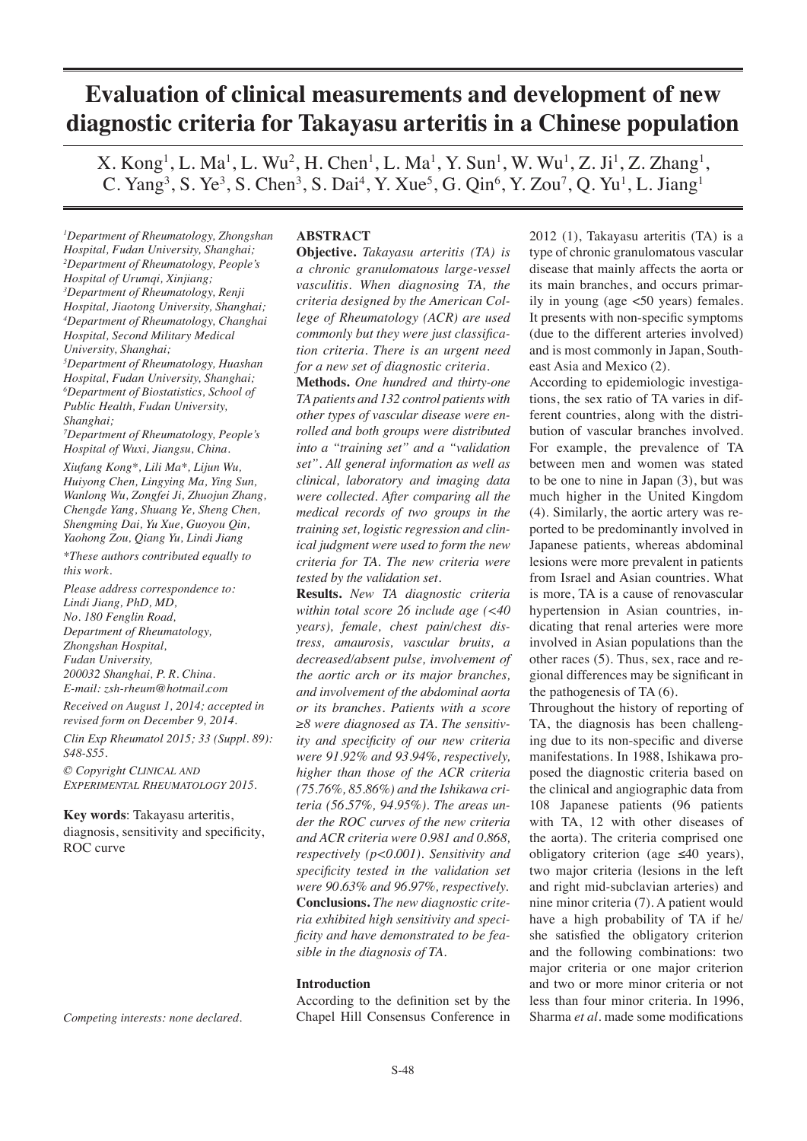# **Evaluation of clinical measurements and development of new diagnostic criteria for Takayasu arteritis in a Chinese population**

 $X. Kong<sup>1</sup>, L. Ma<sup>1</sup>, L. Wu<sup>2</sup>, H. Chen<sup>1</sup>, L. Ma<sup>1</sup>, Y. Sun<sup>1</sup>, W. Wu<sup>1</sup>, Z. Ji<sup>1</sup>, Z. Zhang<sup>1</sup>,$ C. Yang<sup>3</sup>, S. Ye<sup>3</sup>, S. Chen<sup>3</sup>, S. Dai<sup>4</sup>, Y. Xue<sup>5</sup>, G. Qin<sup>6</sup>, Y. Zou<sup>7</sup>, Q. Yu<sup>1</sup>, L. Jiang<sup>1</sup>

*1 Department of Rheumatology, Zhongshan Hospital, Fudan University, Shanghai; 2 Department of Rheumatology, People's Hospital of Urumqi, Xinjiang; 3 Department of Rheumatology, Renji Hospital, Jiaotong University, Shanghai; 4 Department of Rheumatology, Changhai Hospital, Second Military Medical University, Shanghai; 5 Department of Rheumatology, Huashan Hospital, Fudan University, Shanghai;*

*6 Department of Biostatistics, School of Public Health, Fudan University, Shanghai;*

*7 Department of Rheumatology, People's Hospital of Wuxi, Jiangsu, China.*

*Xiufang Kong\*, Lili Ma\*, Lijun Wu, Huiyong Chen, Lingying Ma, Ying Sun, Wanlong Wu, Zongfei Ji, Zhuojun Zhang, Chengde Yang, Shuang Ye, Sheng Chen, Shengming Dai, Yu Xue, Guoyou Qin, Yaohong Zou, Qiang Yu, Lindi Jiang*

*\*These authors contributed equally to this work.*

*Please address correspondence to: Lindi Jiang, PhD, MD, No. 180 Fenglin Road, Department of Rheumatology, Zhongshan Hospital, Fudan University, 200032 Shanghai, P. R. China. E-mail: zsh-rheum@hotmail.com*

*Received on August 1, 2014; accepted in revised form on December 9, 2014.*

*Clin Exp Rheumatol 2015; 33 (Suppl. 89): S48-S55.*

*© Copyright Clinical and Experimental Rheumatology 2015.*

**Key words**: Takayasu arteritis, diagnosis, sensitivity and specificity, ROC curve

*Competing interests: none declared.*

# **ABSTRACT**

**Objective.** *Takayasu arteritis (TA) is a chronic granulomatous large-vessel vasculitis. When diagnosing TA, the criteria designed by the American College of Rheumatology (ACR) are used commonly but they were just classification criteria. There is an urgent need for a new set of diagnostic criteria.*

**Methods.** *One hundred and thirty-one TA patients and 132 control patients with other types of vascular disease were enrolled and both groups were distributed into a "training set" and a "validation set". All general information as well as clinical, laboratory and imaging data were collected. After comparing all the medical records of two groups in the training set, logistic regression and clinical judgment were used to form the new criteria for TA. The new criteria were tested by the validation set.* 

**Results.** *New TA diagnostic criteria within total score 26 include age (<40 years), female, chest pain/chest distress, amaurosis, vascular bruits, a decreased/absent pulse, involvement of the aortic arch or its major branches, and involvement of the abdominal aorta or its branches. Patients with a score ≥8 were diagnosed as TA. The sensitivity and specificity of our new criteria were 91.92% and 93.94%, respectively, higher than those of the ACR criteria (75.76%, 85.86%) and the Ishikawa criteria (56.57%, 94.95%). The areas under the ROC curves of the new criteria and ACR criteria were 0.981 and 0.868, respectively (p<0.001). Sensitivity and specificity tested in the validation set were 90.63% and 96.97%, respectively.* **Conclusions.** *The new diagnostic criteria exhibited high sensitivity and specificity and have demonstrated to be feasible in the diagnosis of TA.*

# **Introduction**

According to the definition set by the Chapel Hill Consensus Conference in

2012 (1), Takayasu arteritis (TA) is a type of chronic granulomatous vascular disease that mainly affects the aorta or its main branches, and occurs primarily in young (age <50 years) females. It presents with non-specific symptoms (due to the different arteries involved) and is most commonly in Japan, Southeast Asia and Mexico (2).

According to epidemiologic investigations, the sex ratio of TA varies in different countries, along with the distribution of vascular branches involved. For example, the prevalence of TA between men and women was stated to be one to nine in Japan (3), but was much higher in the United Kingdom (4). Similarly, the aortic artery was reported to be predominantly involved in Japanese patients, whereas abdominal lesions were more prevalent in patients from Israel and Asian countries. What is more, TA is a cause of renovascular hypertension in Asian countries, indicating that renal arteries were more involved in Asian populations than the other races (5). Thus, sex, race and regional differences may be significant in the pathogenesis of TA (6).

Throughout the history of reporting of TA, the diagnosis has been challenging due to its non-specific and diverse manifestations. In 1988, Ishikawa proposed the diagnostic criteria based on the clinical and angiographic data from 108 Japanese patients (96 patients with TA, 12 with other diseases of the aorta). The criteria comprised one obligatory criterion (age ≤40 years), two major criteria (lesions in the left and right mid-subclavian arteries) and nine minor criteria (7). A patient would have a high probability of TA if he/ she satisfied the obligatory criterion and the following combinations: two major criteria or one major criterion and two or more minor criteria or not less than four minor criteria. In 1996, Sharma *et al*. made some modifications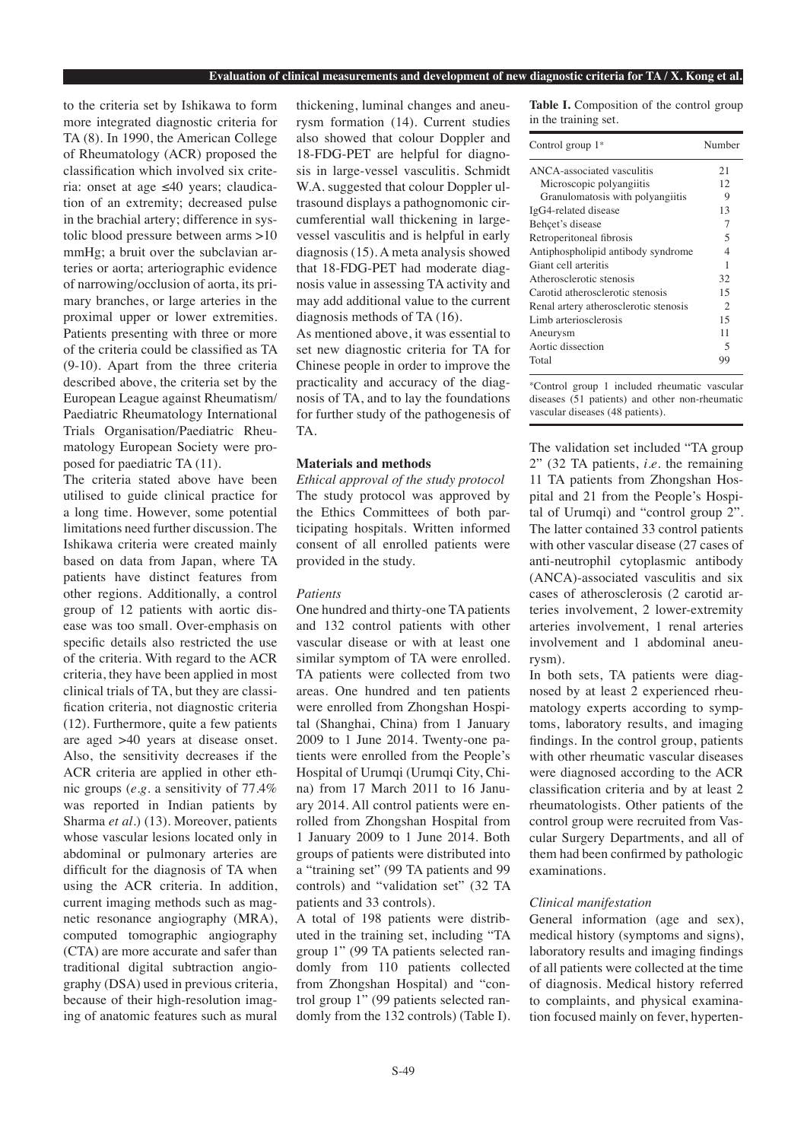#### **Evaluation of clinical measurements and development of new diagnostic criteria for TA / X. Kong et al.**

to the criteria set by Ishikawa to form more integrated diagnostic criteria for TA (8). In 1990, the American College of Rheumatology (ACR) proposed the classification which involved six criteria: onset at age ≤40 years; claudication of an extremity; decreased pulse in the brachial artery; difference in systolic blood pressure between arms >10 mmHg; a bruit over the subclavian arteries or aorta; arteriographic evidence of narrowing/occlusion of aorta, its primary branches, or large arteries in the proximal upper or lower extremities. Patients presenting with three or more of the criteria could be classified as TA (9-10). Apart from the three criteria described above, the criteria set by the European League against Rheumatism/ Paediatric Rheumatology International Trials Organisation/Paediatric Rheumatology European Society were proposed for paediatric TA (11).

The criteria stated above have been utilised to guide clinical practice for a long time. However, some potential limitations need further discussion. The Ishikawa criteria were created mainly based on data from Japan, where TA patients have distinct features from other regions. Additionally, a control group of 12 patients with aortic disease was too small. Over-emphasis on specific details also restricted the use of the criteria. With regard to the ACR criteria, they have been applied in most clinical trials of TA, but they are classification criteria, not diagnostic criteria (12). Furthermore, quite a few patients are aged >40 years at disease onset. Also, the sensitivity decreases if the ACR criteria are applied in other ethnic groups (*e.g.* a sensitivity of 77.4% was reported in Indian patients by Sharma et al.) (13). Moreover, patients whose vascular lesions located only in abdominal or pulmonary arteries are difficult for the diagnosis of TA when using the ACR criteria. In addition, current imaging methods such as magnetic resonance angiography (MRA), computed tomographic angiography (CTA) are more accurate and safer than traditional digital subtraction angiography (DSA) used in previous criteria, because of their high-resolution imaging of anatomic features such as mural

thickening, luminal changes and aneurysm formation (14). Current studies also showed that colour Doppler and 18-FDG-PET are helpful for diagnosis in large-vessel vasculitis. Schmidt W.A. suggested that colour Doppler ultrasound displays a pathognomonic circumferential wall thickening in largevessel vasculitis and is helpful in early diagnosis (15). A meta analysis showed that 18-FDG-PET had moderate diagnosis value in assessing TA activity and may add additional value to the current diagnosis methods of TA (16).

As mentioned above, it was essential to set new diagnostic criteria for TA for Chinese people in order to improve the practicality and accuracy of the diagnosis of TA, and to lay the foundations for further study of the pathogenesis of TA.

#### **Materials and methods**

*Ethical approval of the study protocol* The study protocol was approved by the Ethics Committees of both participating hospitals. Written informed consent of all enrolled patients were provided in the study.

# *Patients*

One hundred and thirty-one TA patients and 132 control patients with other vascular disease or with at least one similar symptom of TA were enrolled. TA patients were collected from two areas. One hundred and ten patients were enrolled from Zhongshan Hospital (Shanghai, China) from 1 January 2009 to 1 June 2014. Twenty-one patients were enrolled from the People's Hospital of Urumqi (Urumqi City, China) from 17 March 2011 to 16 January 2014. All control patients were enrolled from Zhongshan Hospital from 1 January 2009 to 1 June 2014. Both groups of patients were distributed into a "training set" (99 TA patients and 99 controls) and "validation set" (32 TA patients and 33 controls).

A total of 198 patients were distributed in the training set, including "TA group 1" (99 TA patients selected randomly from 110 patients collected from Zhongshan Hospital) and "control group 1" (99 patients selected randomly from the 132 controls) (Table I).

**Table I.** Composition of the control group in the training set.

| Control group $1^*$                   | Number         |
|---------------------------------------|----------------|
| ANCA-associated vasculitis            | 21             |
| Microscopic polyangiitis              | 12.            |
| Granulomatosis with polyangiitis      | 9              |
| IgG4-related disease                  | 13             |
| Behçet's disease                      | 7              |
| Retroperitoneal fibrosis              | 5              |
| Antiphospholipid antibody syndrome    | 4              |
| Giant cell arteritis                  | 1              |
| Atherosclerotic stenosis              | 32             |
| Carotid atherosclerotic stenosis      | 15             |
| Renal artery atherosclerotic stenosis | $\mathfrak{D}$ |
| Limb arteriosclerosis                 | 15             |
| Aneurysm                              | 11             |
| Aortic dissection                     | 5              |
| Total                                 | gg             |

\*Control group 1 included rheumatic vascular diseases (51 patients) and other non-rheumatic vascular diseases (48 patients).

The validation set included "TA group 2" (32 TA patients, *i.e.* the remaining 11 TA patients from Zhongshan Hospital and 21 from the People's Hospital of Urumqi) and "control group 2". The latter contained 33 control patients with other vascular disease (27 cases of anti-neutrophil cytoplasmic antibody (ANCA)-associated vasculitis and six cases of atherosclerosis (2 carotid arteries involvement, 2 lower-extremity arteries involvement, 1 renal arteries involvement and 1 abdominal aneurysm).

In both sets, TA patients were diagnosed by at least 2 experienced rheumatology experts according to symptoms, laboratory results, and imaging findings. In the control group, patients with other rheumatic vascular diseases were diagnosed according to the ACR classification criteria and by at least 2 rheumatologists. Other patients of the control group were recruited from Vascular Surgery Departments, and all of them had been confirmed by pathologic examinations.

#### *Clinical manifestation*

General information (age and sex), medical history (symptoms and signs), laboratory results and imaging findings of all patients were collected at the time of diagnosis. Medical history referred to complaints, and physical examination focused mainly on fever, hyperten-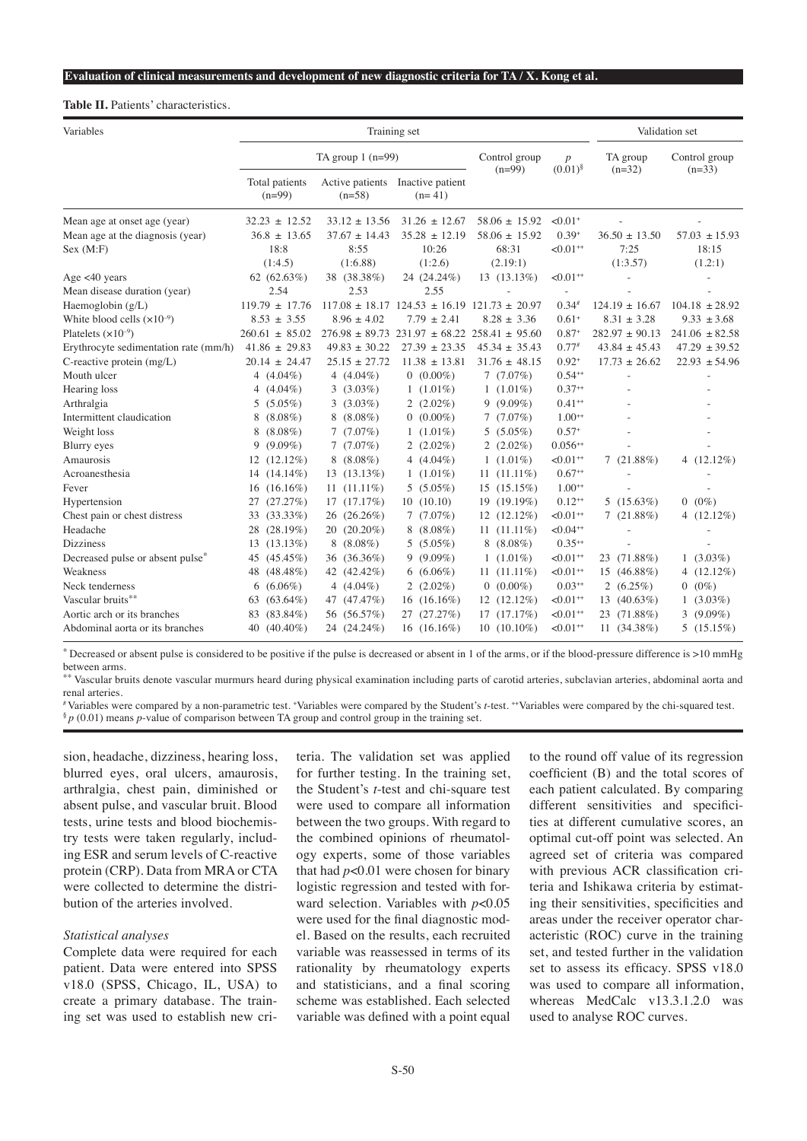## **Table II.** Patients' characteristics.

| Variables                             |                            | Training set                |                                                          | Validation set       |                           |                    |                    |
|---------------------------------------|----------------------------|-----------------------------|----------------------------------------------------------|----------------------|---------------------------|--------------------|--------------------|
|                                       | TA group $1$ (n=99)        | Control group<br>$(n=99)$   | $\boldsymbol{p}$<br>$(0.01)^{\S}$                        | TA group<br>$(n=32)$ | Control group<br>$(n=33)$ |                    |                    |
|                                       | Total patients<br>$(n=99)$ | Active patients<br>$(n=58)$ | Inactive patient<br>$(n=41)$                             |                      |                           |                    |                    |
| Mean age at onset age (year)          | $32.23 \pm 12.52$          | $33.12 \pm 13.56$           | $31.26 \pm 12.67$                                        | $58.06 \pm 15.92$    | $< 0.01$ <sup>+</sup>     |                    |                    |
| Mean age at the diagnosis (year)      | $36.8 \pm 13.65$           | $37.67 \pm 14.43$           | $35.28 \pm 12.19$                                        | $58.06 \pm 15.92$    | $0.39+$                   | $36.50 \pm 13.50$  | $57.03 \pm 15.93$  |
| Sex (M:F)                             | 18:8                       | 8:55                        | 10:26                                                    | 68:31                | $< 0.01 +$                | 7:25               | 18:15              |
|                                       | (1:4.5)                    | (1:6.88)                    | (1:2.6)                                                  | (2.19:1)             |                           | (1:3.57)           | (1.2:1)            |
| Age $<$ 40 years                      | 62 $(62.63\%)$             | 38 (38.38%)                 | 24 (24.24%)                                              | $13(13.13\%)$        | $< 0.01 +$                |                    |                    |
| Mean disease duration (year)          | 2.54                       | 2.53                        | 2.55                                                     |                      |                           |                    |                    |
| Haemoglobin (g/L)                     | $119.79 \pm 17.76$         |                             | $117.08 \pm 18.17$ $124.53 \pm 16.19$ $121.73 \pm 20.97$ |                      | $0.34^{#}$                | $124.19 \pm 16.67$ | $104.18 \pm 28.92$ |
| White blood cells $(x10^{-9})$        | $8.53 \pm 3.55$            | $8.96 \pm 4.02$             | $7.79 \pm 2.41$                                          | $8.28 \pm 3.36$      | $0.61+$                   | $8.31 \pm 3.28$    | $9.33 \pm 3.68$    |
| Platelets $(x10^{-9})$                | $260.61 \pm 85.02$         | $276.98 \pm 89.73$          | $231.97 \pm 68.22$                                       | $258.41 \pm 95.60$   | $0.87+$                   | $282.97 \pm 90.13$ | $241.06 \pm 82.58$ |
| Erythrocyte sedimentation rate (mm/h) | $41.86 \pm 29.83$          | $49.83 \pm 30.22$           | $27.39 \pm 23.35$                                        | $45.34 \pm 35.43$    | $0.77^{*}$                | $43.84 \pm 45.43$  | $47.29 \pm 39.52$  |
| C-reactive protein $(mg/L)$           | $20.14 \pm 24.47$          | $25.15 \pm 27.72$           | $11.38 \pm 13.81$                                        | $31.76 \pm 48.15$    | $0.92+$                   | $17.73 \pm 26.62$  | $22.93 \pm 54.96$  |
| Mouth ulcer                           | 4 $(4.04\%)$               | 4 $(4.04\%)$                | $0(0.00\%)$                                              | 7(7.07%)             | $0.54^{++}$               |                    |                    |
| Hearing loss                          | 4 $(4.04\%)$               | $3(3.03\%)$                 | $1(1.01\%)$                                              | $1(1.01\%)$          | $0.37**$                  |                    |                    |
| Arthralgia                            | $(5.05\%)$<br>5            | 3 $(3.03\%)$                | 2 $(2.02\%)$                                             | $9(9.09\%)$          | $0.41**$                  |                    |                    |
| Intermittent claudication             | $(8.08\%)$<br>8            | $(8.08\%)$                  | $0(0.00\%)$                                              | 7(7.07%)             | $1.00^{++}$               |                    |                    |
| Weight loss                           | $(8.08\%)$<br>8            | 7(7.07%)                    | $1(1.01\%)$                                              | 5 $(5.05\%)$         | $0.57+$                   |                    |                    |
| <b>Blurry</b> eyes                    | $(9.09\%)$<br>9            | 7(7.07%)                    | 2 $(2.02\%)$                                             | 2 $(2.02\%)$         | $0.056^{++}$              |                    |                    |
| Amaurosis                             | 12 (12.12%)                | $(8.08\%)$                  | 4 $(4.04\%)$                                             | $1(1.01\%)$          | $< 0.01 +$                | 7(21.88%)          | 4 $(12.12\%)$      |
| Acroanesthesia                        | 14 (14.14%)                | $(13.13\%)$<br>13           | $1(1.01\%)$                                              | $11(11.11\%)$        | $0.67**$                  |                    |                    |
| Fever                                 | $(16.16\%)$<br>16          | $11(11.11\%)$               | 5 $(5.05\%)$                                             | $15(15.15\%)$        | $1.00^{++}$               |                    |                    |
| Hypertension                          | (27.27%)<br>27             | 17(17.17%)                  | 10(10.10)                                                | 19 (19.19%)          | $0.12^{++}$               | 5 $(15.63\%)$      | $0(0\%)$           |
| Chest pain or chest distress          | $(33.33\%)$<br>33          | $(26.26\%)$<br>26           | 7(7.07%)                                                 | $12(12.12\%)$        | $< 0.01$ <sup>++</sup>    | 7(21.88%)          | 4 $(12.12\%)$      |
| Headache                              | 28<br>$(28.19\%)$          | 20 (20.20%)                 | $8(8.08\%)$                                              | $11(11.11\%)$        | $< 0.04$ <sup>++</sup>    |                    |                    |
| <b>Dizziness</b>                      | $(13.13\%)$<br>13          | $(8.08\%)$<br>8             | 5 $(5.05\%)$                                             | $8(8.08\%)$          | $0.35^{++}$               |                    |                    |
| Decreased pulse or absent pulse*      | $(45.45\%)$<br>45          | $(36.36\%)$<br>36           | $9(9.09\%)$                                              | $1(1.01\%)$          | $< 0.01 +$                | 23 (71.88%)        | $1(3.03\%)$        |
| Weakness                              | $(48.48\%)$<br>48          | 42 (42.42%)                 | $6(6.06\%)$                                              | $11(11.11\%)$        | $< 0.01 +$                | 15 (46.88%)        | 4 $(12.12\%)$      |
| Neck tenderness                       | $(6.06\%)$<br>6            | 4 $(4.04\%)$                | 2 $(2.02\%)$                                             | $0(0.00\%)$          | $0.03^{++}$               | 2 $(6.25\%)$       | $0(0\%)$           |
| Vascular bruits**                     | $(63.64\%)$<br>63          | 47 (47.47%)                 | 16 $(16.16\%)$                                           | $12(12.12\%)$        | $< 0.01 +$                | 13 (40.63%)        | $1(3.03\%)$        |
| Aortic arch or its branches           | $(83.84\%)$<br>83          | 56 (56.57%)                 | 27 (27.27%)                                              | 17(17.17%)           | $< 0.01 +$                | 23 (71.88%)        | 3 $(9.09\%)$       |
| Abdominal aorta or its branches       | 40 (40.40%)                | 24 (24.24%)                 | 16 $(16.16\%)$                                           | $10(10.10\%)$        | $< 0.01$ <sup>++</sup>    | 11 $(34.38\%)$     | 5(15.15%)          |

\* Decreased or absent pulse is considered to be positive if the pulse is decreased or absent in 1 of the arms, or if the blood-pressure difference is >10 mmHg between arms.

\*\* Vascular bruits denote vascular murmurs heard during physical examination including parts of carotid arteries, subclavian arteries, abdominal aorta and renal arteries.

# Variables were compared by a non-parametric test. <sup>+</sup>Variables were compared by the Student's *t*-test. ++Variables were compared by the chi-squared test.  ${}^{\$}p$  (0.01) means *p*-value of comparison between TA group and control group in the training set.

sion, headache, dizziness, hearing loss, blurred eyes, oral ulcers, amaurosis, arthralgia, chest pain, diminished or absent pulse, and vascular bruit. Blood tests, urine tests and blood biochemistry tests were taken regularly, including ESR and serum levels of C-reactive protein (CRP). Data from MRA or CTA were collected to determine the distribution of the arteries involved.

## *Statistical analyses*

Complete data were required for each patient. Data were entered into SPSS v18.0 (SPSS, Chicago, IL, USA) to create a primary database. The training set was used to establish new criteria. The validation set was applied for further testing. In the training set, the Student's *t*-test and chi-square test were used to compare all information between the two groups. With regard to the combined opinions of rheumatology experts, some of those variables that had *p*<0.01 were chosen for binary logistic regression and tested with forward selection. Variables with *p*<0.05 were used for the final diagnostic model. Based on the results, each recruited variable was reassessed in terms of its rationality by rheumatology experts and statisticians, and a final scoring scheme was established. Each selected variable was defined with a point equal

to the round off value of its regression coefficient (B) and the total scores of each patient calculated. By comparing different sensitivities and specificities at different cumulative scores, an optimal cut-off point was selected. An agreed set of criteria was compared with previous ACR classification criteria and Ishikawa criteria by estimating their sensitivities, specificities and areas under the receiver operator characteristic (ROC) curve in the training set, and tested further in the validation set to assess its efficacy. SPSS v18.0 was used to compare all information, whereas MedCalc v13.3.1.2.0 was used to analyse ROC curves.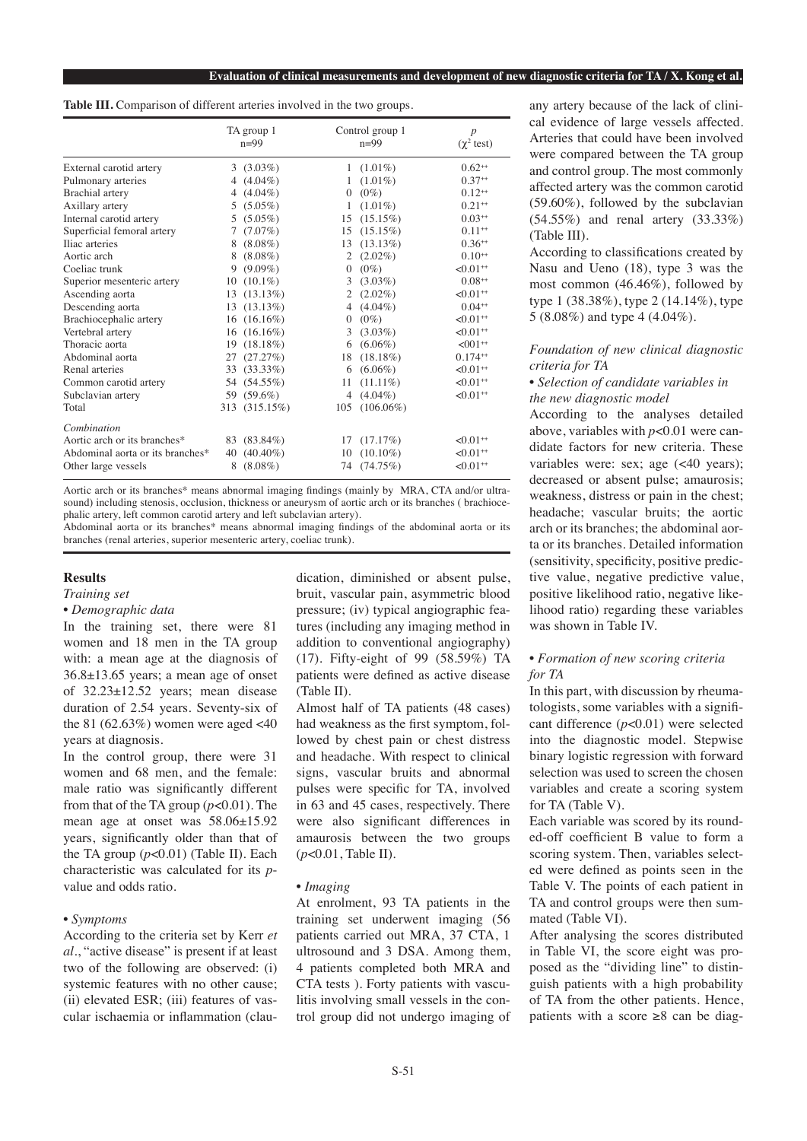|  |  | Table III. Comparison of different arteries involved in the two groups. |  |  |  |  |  |  |  |  |  |  |
|--|--|-------------------------------------------------------------------------|--|--|--|--|--|--|--|--|--|--|
|--|--|-------------------------------------------------------------------------|--|--|--|--|--|--|--|--|--|--|

|                                  |    | TA group 1<br>$n=99$ | Control group 1<br>$n=99$ |              | $\overline{p}$<br>$(\chi^2 \text{ test})$ |  |
|----------------------------------|----|----------------------|---------------------------|--------------|-------------------------------------------|--|
| External carotid artery          |    | $3(3.03\%)$          |                           | $1(1.01\%)$  | $0.62^{++}$                               |  |
| Pulmonary arteries               |    | 4 $(4.04\%)$         | 1                         | $(1.01\%)$   | $0.37^{++}$                               |  |
| <b>Brachial</b> artery           |    | 4 $(4.04\%)$         | $\mathbf{0}$              | $(0\%)$      | $0.12^{++}$                               |  |
| Axillary artery                  | 5  | $(5.05\%)$           | 1                         | $(1.01\%)$   | $0.21**$                                  |  |
| Internal carotid artery          | 5  | $(5.05\%)$           | 15                        | $(15.15\%)$  | $0.03^{++}$                               |  |
| Superficial femoral artery       | 7  | $(7.07\%)$           | 15                        | $(15.15\%)$  | $0.11**$                                  |  |
| Iliac arteries                   | 8  | $(8.08\%)$           | 13                        | $(13.13\%)$  | $0.36^{++}$                               |  |
| Aortic arch                      | 8  | $(8.08\%)$           | 2                         | $(2.02\%)$   | $0.10^{++}$                               |  |
| Coeliac trunk                    | 9  | $(9.09\%)$           | $\Omega$                  | $(0\%)$      | $< 0.01$ <sup>++</sup>                    |  |
| Superior mesenteric artery       | 10 | $(10.1\%)$           | 3                         | $(3.03\%)$   | $0.08^{++}$                               |  |
| Ascending aorta                  |    | $13(13.13\%)$        | 2                         | $(2.02\%)$   | $< 0.01$ <sup>++</sup>                    |  |
| Descending aorta                 |    | $13(13.13\%)$        | 4                         | $(4.04\%)$   | $0.04^{++}$                               |  |
| Brachiocephalic artery           |    | $16(16.16\%)$        | $\mathbf{0}$              | $(0\%)$      | $< 0.01$ <sup>++</sup>                    |  |
| Vertebral artery                 |    | $16(16.16\%)$        | 3                         | $(3.03\%)$   | $< 0.01$ <sup>++</sup>                    |  |
| Thoracic aorta                   |    | 19 (18.18%)          | 6                         | $(6.06\%)$   | $<$ 001 <sup>++</sup>                     |  |
| Abdominal aorta                  |    | 27(27.27%)           | 18                        | $(18.18\%)$  | $0.174^{++}$                              |  |
| Renal arteries                   |    | 33 (33.33%)          | 6                         | $(6.06\%)$   | $< 0.01$ <sup>++</sup>                    |  |
| Common carotid artery            |    | 54 (54.55%)          | 11                        | $(11.11\%)$  | $< 0.01$ <sup>++</sup>                    |  |
| Subclavian artery                |    | 59 (59.6%)           | 4                         | $(4.04\%)$   | $< 0.01$ <sup>++</sup>                    |  |
| Total                            |    | 313 (315.15%)        | 105                       | $(106.06\%)$ |                                           |  |
| Combination                      |    |                      |                           |              |                                           |  |
| Aortic arch or its branches*     |    | 83 (83.84%)          | 17                        | (17.17%)     | $< 0.01$ <sup>++</sup>                    |  |
| Abdominal aorta or its branches* |    | 40 (40.40%)          | 10                        | $(10.10\%)$  | $< 0.01$ <sup>++</sup>                    |  |
| Other large vessels              | 8  | $(8.08\%)$           | 74                        | (74.75%)     | $< 0.01$ <sup>++</sup>                    |  |

Aortic arch or its branches\* means abnormal imaging findings (mainly by MRA, CTA and/or ultrasound) including stenosis, occlusion, thickness or aneurysm of aortic arch or its branches ( brachiocephalic artery, left common carotid artery and left subclavian artery).

Abdominal aorta or its branches\* means abnormal imaging findings of the abdominal aorta or its branches (renal arteries, superior mesenteric artery, coeliac trunk).

#### **Results**

# *Training set*

*• Demographic data*

In the training set, there were 81 women and 18 men in the TA group with: a mean age at the diagnosis of 36.8±13.65 years; a mean age of onset of 32.23±12.52 years; mean disease duration of 2.54 years. Seventy-six of the 81 (62.63%) women were aged  $<40$ years at diagnosis.

In the control group, there were 31 women and 68 men, and the female: male ratio was significantly different from that of the TA group (*p*<0.01). The mean age at onset was 58.06±15.92 years, significantly older than that of the TA group (*p*<0.01) (Table II). Each characteristic was calculated for its *p*value and odds ratio.

# *• Symptoms*

According to the criteria set by Kerr *et al.*, "active disease" is present if at least two of the following are observed: (i) systemic features with no other cause; (ii) elevated ESR; (iii) features of vascular ischaemia or inflammation (claudication, diminished or absent pulse, bruit, vascular pain, asymmetric blood pressure; (iv) typical angiographic features (including any imaging method in addition to conventional angiography) (17). Fifty-eight of 99 (58.59%) TA patients were defined as active disease (Table II).

Almost half of TA patients (48 cases) had weakness as the first symptom, followed by chest pain or chest distress and headache. With respect to clinical signs, vascular bruits and abnormal pulses were specific for TA, involved in 63 and 45 cases, respectively. There were also significant differences in amaurosis between the two groups (*p*<0.01, Table II).

# *• Imaging*

At enrolment, 93 TA patients in the training set underwent imaging (56 patients carried out MRA, 37 CTA, 1 ultrosound and 3 DSA. Among them, 4 patients completed both MRA and CTA tests ). Forty patients with vasculitis involving small vessels in the control group did not undergo imaging of any artery because of the lack of clinical evidence of large vessels affected. Arteries that could have been involved were compared between the TA group and control group. The most commonly affected artery was the common carotid (59.60%), followed by the subclavian (54.55%) and renal artery (33.33%) (Table III).

According to classifications created by Nasu and Ueno (18), type 3 was the most common (46.46%), followed by type 1 (38.38%), type 2 (14.14%), type 5 (8.08%) and type 4 (4.04%).

# *Foundation of new clinical diagnostic criteria for TA*

# *• Selection of candidate variables in the new diagnostic model*

According to the analyses detailed above, variables with *p*<0.01 were candidate factors for new criteria. These variables were: sex; age (<40 years); decreased or absent pulse; amaurosis; weakness, distress or pain in the chest; headache; vascular bruits; the aortic arch or its branches; the abdominal aorta or its branches. Detailed information (sensitivity, specificity, positive predictive value, negative predictive value, positive likelihood ratio, negative likelihood ratio) regarding these variables was shown in Table IV.

# *• Formation of new scoring criteria for TA*

In this part, with discussion by rheumatologists, some variables with a significant difference (*p*<0.01) were selected into the diagnostic model. Stepwise binary logistic regression with forward selection was used to screen the chosen variables and create a scoring system for TA (Table V).

Each variable was scored by its rounded-off coefficient B value to form a scoring system. Then, variables selected were defined as points seen in the Table V. The points of each patient in TA and control groups were then summated (Table VI).

After analysing the scores distributed in Table VI, the score eight was proposed as the "dividing line" to distinguish patients with a high probability of TA from the other patients. Hence, patients with a score  $\geq 8$  can be diag-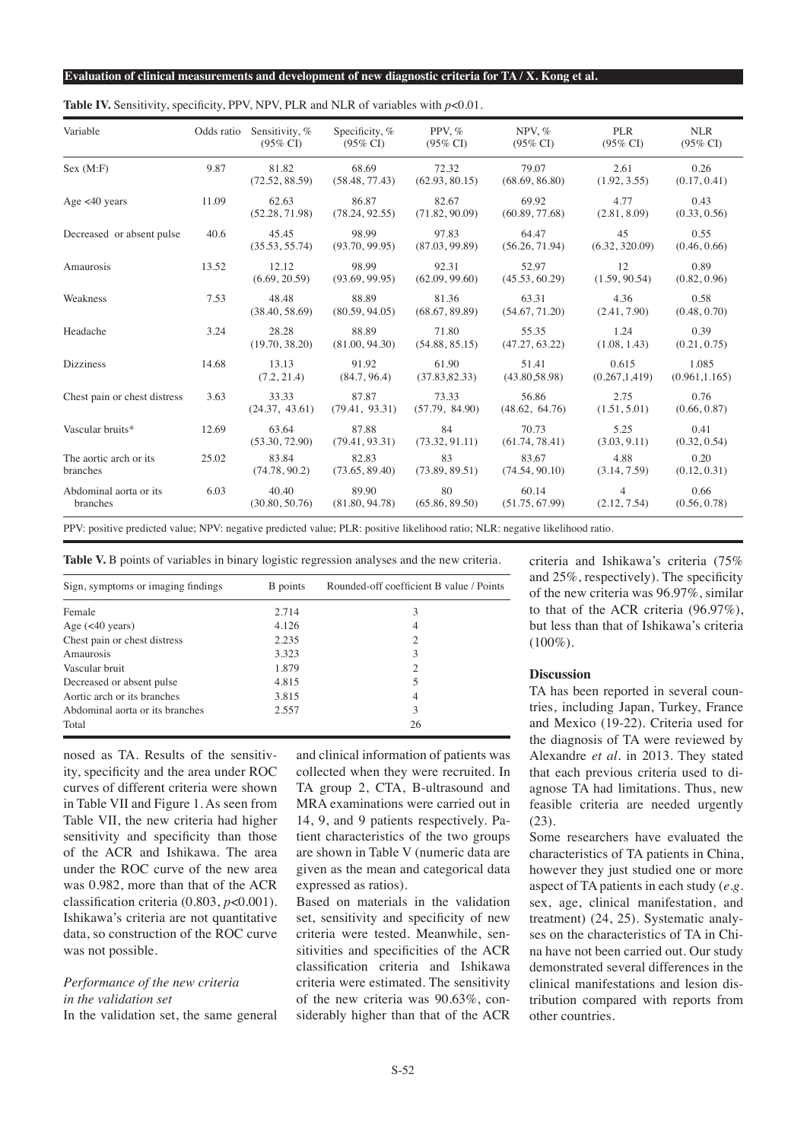| Variable                           | Odds ratio | Sensitivity, %<br>$(95\% \text{ CI})$ | Specificity, %<br>$(95\% \text{ CI})$ | PPV, $%$<br>$(95\% \text{ CI})$ | NPV, $%$<br>$(95\% \text{ CI})$ | <b>PLR</b><br>$(95\% \text{ CI})$ | <b>NLR</b><br>$(95\% \text{ CI})$ |
|------------------------------------|------------|---------------------------------------|---------------------------------------|---------------------------------|---------------------------------|-----------------------------------|-----------------------------------|
| Sex (M:F)                          | 9.87       | 81.82<br>(72.52, 88.59)               | 68.69<br>(58.48, 77.43)               | 72.32<br>(62.93, 80.15)         | 79.07<br>(68.69, 86.80)         | 2.61<br>(1.92, 3.55)              | 0.26<br>(0.17, 0.41)              |
| Age $<40$ years                    | 11.09      | 62.63<br>(52.28, 71.98)               | 86.87<br>(78.24, 92.55)               | 82.67<br>(71.82, 90.09)         | 69.92<br>(60.89, 77.68)         | 4.77<br>(2.81, 8.09)              | 0.43<br>(0.33, 0.56)              |
| Decreased or absent pulse          | 40.6       | 45.45<br>(35.53, 55.74)               | 98.99<br>(93.70, 99.95)               | 97.83<br>(87.03, 99.89)         | 64.47<br>(56.26, 71.94)         | 45<br>(6.32, 320.09)              | 0.55<br>(0.46, 0.66)              |
| Amaurosis                          | 13.52      | 12.12<br>(6.69, 20.59)                | 98.99<br>(93.69, 99.95)               | 92.31<br>(62.09, 99.60)         | 52.97<br>(45.53, 60.29)         | 12<br>(1.59, 90.54)               | 0.89<br>(0.82, 0.96)              |
| Weakness                           | 7.53       | 48.48<br>(38.40, 58.69)               | 88.89<br>(80.59, 94.05)               | 81.36<br>(68.67, 89.89)         | 63.31<br>(54.67, 71.20)         | 4.36<br>(2.41, 7.90)              | 0.58<br>(0.48, 0.70)              |
| Headache                           | 3.24       | 28.28<br>(19.70, 38.20)               | 88.89<br>(81.00, 94.30)               | 71.80<br>(54.88, 85.15)         | 55.35<br>(47.27, 63.22)         | 1.24<br>(1.08, 1.43)              | 0.39<br>(0.21, 0.75)              |
| <b>Dizziness</b>                   | 14.68      | 13.13<br>(7.2, 21.4)                  | 91.92<br>(84.7, 96.4)                 | 61.90<br>(37.83, 82.33)         | 51.41<br>(43.80, 58.98)         | 0.615<br>(0.267, 1.419)           | 1.085<br>(0.961, 1.165)           |
| Chest pain or chest distress       | 3.63       | 33.33<br>(24.37, 43.61)               | 87.87<br>(79.41, 93.31)               | 73.33<br>(57.79, 84.90)         | 56.86<br>(48.62, 64.76)         | 2.75<br>(1.51, 5.01)              | 0.76<br>(0.66, 0.87)              |
| Vascular bruits*                   | 12.69      | 63.64<br>(53.30, 72.90)               | 87.88<br>(79.41, 93.31)               | 84<br>(73.32, 91.11)            | 70.73<br>(61.74, 78.41)         | 5.25<br>(3.03, 9.11)              | 0.41<br>(0.32, 0.54)              |
| The aortic arch or its<br>branches | 25.02      | 83.84<br>(74.78, 90.2)                | 82.83<br>(73.65, 89.40)               | 83<br>(73.89, 89.51)            | 83.67<br>(74.54, 90.10)         | 4.88<br>(3.14, 7.59)              | 0.20<br>(0.12, 0.31)              |
| Abdominal aorta or its<br>branches | 6.03       | 40.40<br>(30.80, 50.76)               | 89.90<br>(81.80, 94.78)               | 80<br>(65.86, 89.50)            | 60.14<br>(51.75, 67.99)         | $\overline{4}$<br>(2.12, 7.54)    | 0.66<br>(0.56, 0.78)              |

**Table IV.** Sensitivity, specificity, PPV, NPV, PLR and NLR of variables with *p*<0.01.

PPV: positive predicted value; NPV: negative predicted value; PLR: positive likelihood ratio; NLR: negative likelihood ratio.

**Table V.** B points of variables in binary logistic regression analyses and the new criteria.

| Sign, symptoms or imaging findings | B points | Rounded-off coefficient B value / Points |
|------------------------------------|----------|------------------------------------------|
| Female                             | 2.714    | 3                                        |
| Age $(40 years)$                   | 4.126    | 4                                        |
| Chest pain or chest distress       | 2.235    |                                          |
| Amaurosis                          | 3.323    | 3                                        |
| Vascular bruit                     | 1.879    |                                          |
| Decreased or absent pulse          | 4.815    |                                          |
| Aortic arch or its branches        | 3.815    | 4                                        |
| Abdominal aorta or its branches    | 2.557    | 3                                        |
| Total                              |          | 26                                       |

nosed as TA. Results of the sensitivity, specificity and the area under ROC curves of different criteria were shown in Table VII and Figure 1. As seen from Table VII, the new criteria had higher sensitivity and specificity than those of the ACR and Ishikawa. The area under the ROC curve of the new area was 0.982, more than that of the ACR classification criteria (0.803, *p*<0.001). Ishikawa's criteria are not quantitative data, so construction of the ROC curve was not possible.

# *Performance of the new criteria in the validation set*

In the validation set, the same general

and clinical information of patients was collected when they were recruited. In TA group 2, CTA, B-ultrasound and MRA examinations were carried out in 14, 9, and 9 patients respectively. Patient characteristics of the two groups are shown in Table V (numeric data are given as the mean and categorical data expressed as ratios).

Based on materials in the validation set, sensitivity and specificity of new criteria were tested. Meanwhile, sensitivities and specificities of the ACR classification criteria and Ishikawa criteria were estimated. The sensitivity of the new criteria was 90.63%, considerably higher than that of the ACR

criteria and Ishikawa's criteria (75% and 25%, respectively). The specificity of the new criteria was 96.97%, similar to that of the ACR criteria (96.97%), but less than that of Ishikawa's criteria  $(100\%).$ 

# **Discussion**

TA has been reported in several countries, including Japan, Turkey, France and Mexico (19-22). Criteria used for the diagnosis of TA were reviewed by Alexandre *et al.* in 2013. They stated that each previous criteria used to diagnose TA had limitations. Thus, new feasible criteria are needed urgently (23).

Some researchers have evaluated the characteristics of TA patients in China, however they just studied one or more aspect of TA patients in each study (*e.g.* sex, age, clinical manifestation, and treatment) (24, 25). Systematic analyses on the characteristics of TA in China have not been carried out. Our study demonstrated several differences in the clinical manifestations and lesion distribution compared with reports from other countries.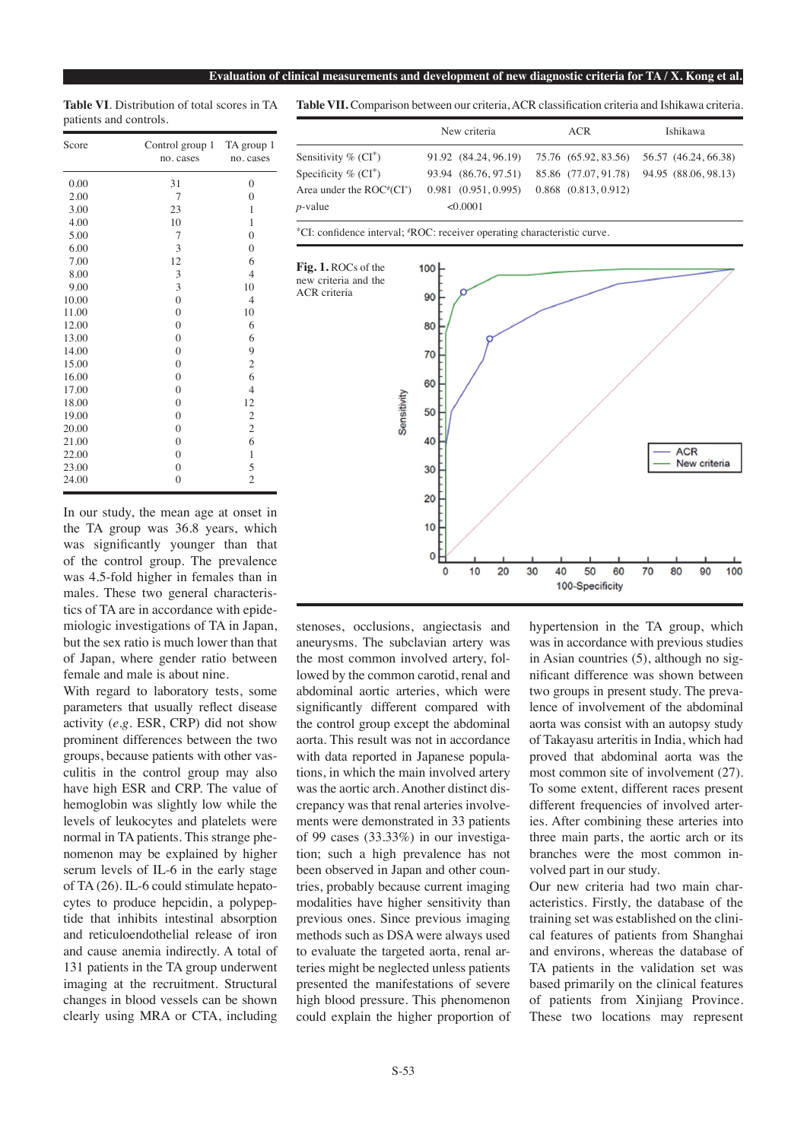**Table VI**. Distribution of total scores in TA patients and controls.

| Score<br>Control group 1 TA group 1<br>no. cases |                  | no. cases        |  |  |
|--------------------------------------------------|------------------|------------------|--|--|
| 0.00                                             | 31               | $\mathbf{0}$     |  |  |
| 2.00                                             | 7                | $\theta$         |  |  |
| 3.00                                             | 23               | 1                |  |  |
| 4.00                                             | 10               | $\mathbf{1}$     |  |  |
| 5.00                                             | 7                | $\overline{0}$   |  |  |
| 6.00                                             | 3                | $\boldsymbol{0}$ |  |  |
| 7.00                                             | 12               | 6                |  |  |
| 8.00                                             | 3                | $\overline{4}$   |  |  |
| 9.00                                             | 3                | 10               |  |  |
| 10.00                                            | $\boldsymbol{0}$ | $\overline{4}$   |  |  |
| 11.00                                            | $\overline{0}$   | 10               |  |  |
| 12.00                                            | $\overline{0}$   | 6                |  |  |
| 13.00                                            | $\boldsymbol{0}$ | 6                |  |  |
| 14.00                                            | $\boldsymbol{0}$ | 9                |  |  |
| 15.00                                            | $\overline{0}$   | $\mathfrak{2}$   |  |  |
| 16.00                                            | $\overline{0}$   | 6                |  |  |
| 17.00                                            | $\overline{0}$   | $\overline{4}$   |  |  |
| 18.00                                            | $\overline{0}$   | 12               |  |  |
| 19.00                                            | $\overline{0}$   | $\mathfrak{2}$   |  |  |
| 20.00                                            | $\overline{0}$   | $\overline{c}$   |  |  |
| 21.00                                            | $\boldsymbol{0}$ | 6                |  |  |
| 22.00                                            | $\boldsymbol{0}$ | $\mathbf{1}$     |  |  |
| 23.00                                            | $\overline{0}$   | 5                |  |  |
| 24.00                                            | $\overline{0}$   | $\overline{c}$   |  |  |

In our study, the mean age at onset in the TA group was 36.8 years, which was significantly younger than that of the control group. The prevalence was 4.5-fold higher in females than in males. These two general characteristics of TA are in accordance with epidemiologic investigations of TA in Japan, but the sex ratio is much lower than that of Japan, where gender ratio between female and male is about nine.

With regard to laboratory tests, some parameters that usually reflect disease activity (*e.g.* ESR, CRP) did not show prominent differences between the two groups, because patients with other vasculitis in the control group may also have high ESR and CRP. The value of hemoglobin was slightly low while the levels of leukocytes and platelets were normal in TA patients. This strange phenomenon may be explained by higher serum levels of IL-6 in the early stage of TA (26). IL-6 could stimulate hepatocytes to produce hepcidin, a polypeptide that inhibits intestinal absorption and reticuloendothelial release of iron and cause anemia indirectly. A total of 131 patients in the TA group underwent imaging at the recruitment. Structural changes in blood vessels can be shown clearly using MRA or CTA, including

**Table VII.** Comparison between our criteria, ACR classification criteria and Ishikawa criteria.

|                                     | New criteria        | ACR                                                            | Ishikawa |  |
|-------------------------------------|---------------------|----------------------------------------------------------------|----------|--|
| Sensitivity $\%$ (CI <sup>*</sup> ) |                     | 91.92 (84.24, 96.19) 75.76 (65.92, 83.56) 56.57 (46.24, 66.38) |          |  |
| Specificity $\%$ (CI <sup>*</sup> ) |                     | 93.94 (86.76, 97.51) 85.86 (77.07, 91.78) 94.95 (88.06, 98.13) |          |  |
| Area under the $ROC^*(CI^*)$        | 0.981(0.951, 0.995) | $0.868$ $(0.813, 0.912)$                                       |          |  |
| $p$ -value                          | < 0.0001            |                                                                |          |  |

\*CI: confidence interval; # ROC: receiver operating characteristic curve.



stenoses, occlusions, angiectasis and aneurysms. The subclavian artery was the most common involved artery, followed by the common carotid, renal and abdominal aortic arteries, which were significantly different compared with the control group except the abdominal aorta. This result was not in accordance with data reported in Japanese populations, in which the main involved artery was the aortic arch. Another distinct discrepancy was that renal arteries involvements were demonstrated in 33 patients of 99 cases (33.33%) in our investigation; such a high prevalence has not been observed in Japan and other countries, probably because current imaging modalities have higher sensitivity than previous ones. Since previous imaging methods such as DSA were always used to evaluate the targeted aorta, renal arteries might be neglected unless patients presented the manifestations of severe high blood pressure. This phenomenon could explain the higher proportion of

hypertension in the TA group, which was in accordance with previous studies in Asian countries (5), although no significant difference was shown between two groups in present study. The prevalence of involvement of the abdominal aorta was consist with an autopsy study of Takayasu arteritis in India, which had proved that abdominal aorta was the most common site of involvement (27). To some extent, different races present different frequencies of involved arteries. After combining these arteries into three main parts, the aortic arch or its branches were the most common involved part in our study.

Our new criteria had two main characteristics. Firstly, the database of the training set was established on the clinical features of patients from Shanghai and environs, whereas the database of TA patients in the validation set was based primarily on the clinical features of patients from Xinjiang Province. These two locations may represent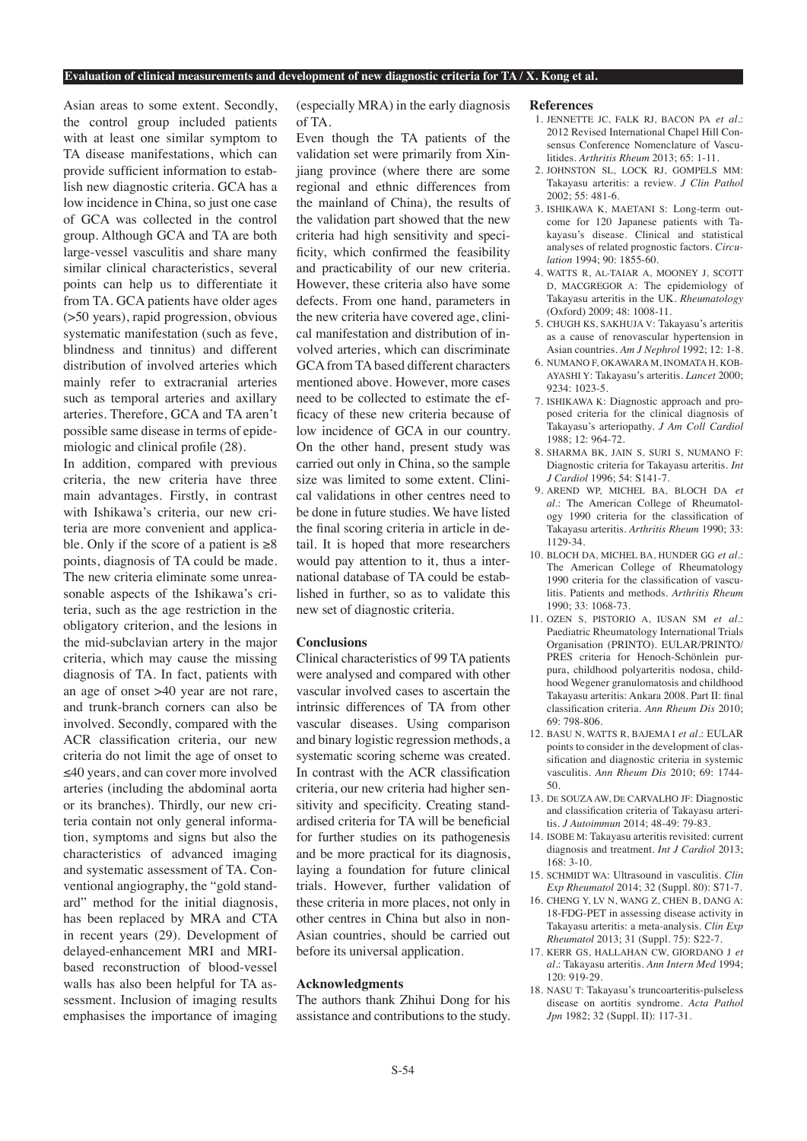#### **Evaluation of clinical measurements and development of new diagnostic criteria for TA / X. Kong et al.**

Asian areas to some extent. Secondly, the control group included patients with at least one similar symptom to TA disease manifestations, which can provide sufficient information to establish new diagnostic criteria. GCA has a low incidence in China, so just one case of GCA was collected in the control group. Although GCA and TA are both large-vessel vasculitis and share many similar clinical characteristics, several points can help us to differentiate it from TA. GCA patients have older ages (>50 years), rapid progression, obvious systematic manifestation (such as feve, blindness and tinnitus) and different distribution of involved arteries which mainly refer to extracranial arteries such as temporal arteries and axillary arteries. Therefore, GCA and TA aren't possible same disease in terms of epidemiologic and clinical profile (28).

In addition, compared with previous criteria, the new criteria have three main advantages. Firstly, in contrast with Ishikawa's criteria, our new criteria are more convenient and applicable. Only if the score of a patient is  $\geq 8$ points, diagnosis of TA could be made. The new criteria eliminate some unreasonable aspects of the Ishikawa's criteria, such as the age restriction in the obligatory criterion, and the lesions in the mid-subclavian artery in the major criteria, which may cause the missing diagnosis of TA. In fact, patients with an age of onset >40 year are not rare, and trunk-branch corners can also be involved. Secondly, compared with the ACR classification criteria, our new criteria do not limit the age of onset to ≤40 years, and can cover more involved arteries (including the abdominal aorta or its branches). Thirdly, our new criteria contain not only general information, symptoms and signs but also the characteristics of advanced imaging and systematic assessment of TA. Conventional angiography, the "gold standard" method for the initial diagnosis, has been replaced by MRA and CTA in recent years (29). Development of delayed-enhancement MRI and MRIbased reconstruction of blood-vessel walls has also been helpful for TA assessment. Inclusion of imaging results emphasises the importance of imaging

(especially MRA) in the early diagnosis of TA.

Even though the TA patients of the validation set were primarily from Xinjiang province (where there are some regional and ethnic differences from the mainland of China), the results of the validation part showed that the new criteria had high sensitivity and specificity, which confirmed the feasibility and practicability of our new criteria. However, these criteria also have some defects. From one hand, parameters in the new criteria have covered age, clinical manifestation and distribution of involved arteries, which can discriminate GCA from TA based different characters mentioned above. However, more cases need to be collected to estimate the efficacy of these new criteria because of low incidence of GCA in our country. On the other hand, present study was carried out only in China, so the sample size was limited to some extent. Clinical validations in other centres need to be done in future studies. We have listed the final scoring criteria in article in detail. It is hoped that more researchers would pay attention to it, thus a international database of TA could be established in further, so as to validate this new set of diagnostic criteria.

#### **Conclusions**

Clinical characteristics of 99 TA patients were analysed and compared with other vascular involved cases to ascertain the intrinsic differences of TA from other vascular diseases. Using comparison and binary logistic regression methods, a systematic scoring scheme was created. In contrast with the ACR classification criteria, our new criteria had higher sensitivity and specificity. Creating standardised criteria for TA will be beneficial for further studies on its pathogenesis and be more practical for its diagnosis, laying a foundation for future clinical trials. However, further validation of these criteria in more places, not only in other centres in China but also in non-Asian countries, should be carried out before its universal application.

#### **Acknowledgments**

The authors thank Zhihui Dong for his assistance and contributions to the study.

#### **References**

- 1. JENNETTE JC, FALK RJ, BACON PA *et al.*: 2012 Revised International Chapel Hill Consensus Conference Nomenclature of Vasculitides. *Arthritis Rheum* 2013; 65: 1-11.
- 2. JOHNSTON SL, LOCK RJ, GOMPELS MM: Takayasu arteritis: a review. *J Clin Pathol* 2002; 55: 481-6.
- 3. ISHIKAWA K, MAETANI S: Long-term outcome for 120 Japanese patients with Takayasu's disease. Clinical and statistical analyses of related prognostic factors. *Circulation* 1994; 90: 1855-60.
- 4. WATTS R, Al-TAIAR A, MOONEY J, SCOTT D, MACGREGOR A: The epidemiology of Takayasu arteritis in the UK. *Rheumatology* (Oxford) 2009; 48: 1008-11.
- 5. CHUGH KS, SAKHUJA V: Takayasu's arteritis as a cause of renovascular hypertension in Asian countries. *Am J Nephrol* 1992; 12: 1-8.
- 6. NUMANO F, OKAWARA M, INOMATA H, KOB-AYASHI Y: Takayasu's arteritis. *Lancet* 2000; 9234: 1023-5.
- 7. ISHIKAWA K: Diagnostic approach and proposed criteria for the clinical diagnosis of Takayasu's arteriopathy. *J Am Coll Cardiol* 1988; 12: 964-72.
- 8. SHARMA BK, JAIN S, SURI S, NUMANO F: Diagnostic criteria for Takayasu arteritis. *Int J Cardiol* 1996; 54: S141-7.
- 9. AREND WP, MICHEL BA, BLOCH DA *et al.*: The American College of Rheumatology 1990 criteria for the classification of Takayasu arteritis. *Arthritis Rheum* 1990; 33: 1129-34.
- 10. BLOCH DA, MICHEL BA, HUNDER GG *et al.*: The American College of Rheumatology 1990 criteria for the classification of vasculitis. Patients and methods. *Arthritis Rheum*  $1990 \cdot 33 \cdot 1068 - 73$ .
- 11. OZEN S, PISTORIO A, IUSAN SM *et al.*: Paediatric Rheumatology International Trials Organisation (PRINTO). EULAR/PRINTO/ PRES criteria for Henoch-Schönlein purpura, childhood polyarteritis nodosa, childhood Wegener granulomatosis and childhood Takayasu arteritis: Ankara 2008. Part II: final classification criteria. *Ann Rheum Dis* 2010; 69: 798-806.
- 12. BASU N, WATTS R, BAJEMA I *et al.*: EULAR points to consider in the development of classification and diagnostic criteria in systemic vasculitis. *Ann Rheum Dis* 2010; 69: 1744- 50.
- 13. De SOUZA AW, De CARVALHO JF: Diagnostic and classification criteria of Takayasu arteritis. *J Autoimmun* 2014; 48-49: 79-83.
- 14. ISOBE M: Takayasu arteritis revisited: current diagnosis and treatment. *Int J Cardiol* 2013; 168: 3-10.
- 15. SCHMIDT WA: Ultrasound in vasculitis. *Clin Exp Rheumatol* 2014; 32 (Suppl. 80): S71-7.
- 16. CHENG Y, LV N, WANG Z, CHEN B, DANG A: 18-FDG-PET in assessing disease activity in Takayasu arteritis: a meta-analysis. *Clin Exp Rheumatol* 2013; 31 (Suppl. 75): S22-7.
- 17. KERR GS, HALLAHAN CW, GIORDANO J *et al.*: Takayasu arteritis. *Ann Intern Med* 1994; 120: 919-29.
- 18. NASU T: Takayasu's truncoarteritis-pulseless disease on aortitis syndrome. *Acta Pathol Jpn* 1982; 32 (Suppl. II): 117-31.